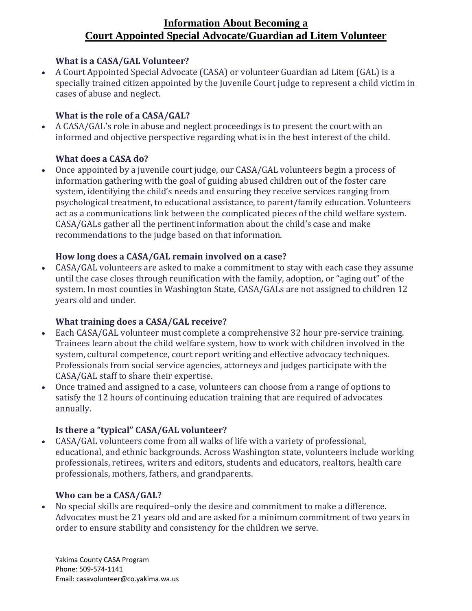# **Information About Becoming a Court Appointed Special Advocate/Guardian ad Litem Volunteer**

#### **What is a CASA/GAL Volunteer?**

• A Court Appointed Special Advocate (CASA) or volunteer Guardian ad Litem (GAL) is a specially trained citizen appointed by the Juvenile Court judge to represent a child victim in cases of abuse and neglect.

#### **What is the role of a CASA/GAL?**

• A CASA/GAL's role in abuse and neglect proceedings is to present the court with an informed and objective perspective regarding what is in the best interest of the child.

### **What does a CASA do?**

• Once appointed by a juvenile court judge, our CASA/GAL volunteers begin a process of information gathering with the goal of guiding abused children out of the foster care system, identifying the child's needs and ensuring they receive services ranging from psychological treatment, to educational assistance, to parent/family education. Volunteers act as a communications link between the complicated pieces of the child welfare system. CASA/GALs gather all the pertinent information about the child's case and make recommendations to the judge based on that information.

### **How long does a CASA/GAL remain involved on a case?**

• CASA/GAL volunteers are asked to make a commitment to stay with each case they assume until the case closes through reunification with the family, adoption, or "aging out" of the system. In most counties in Washington State, CASA/GALs are not assigned to children 12 years old and under.

#### **What training does a CASA/GAL receive?**

- Each CASA/GAL volunteer must complete a comprehensive 32 hour pre-service training. Trainees learn about the child welfare system, how to work with children involved in the system, cultural competence, court report writing and effective advocacy techniques. Professionals from social service agencies, attorneys and judges participate with the CASA/GAL staff to share their expertise.
- Once trained and assigned to a case, volunteers can choose from a range of options to satisfy the 12 hours of continuing education training that are required of advocates annually.

### **Is there a "typical" CASA/GAL volunteer?**

• CASA/GAL volunteers come from all walks of life with a variety of professional, educational, and ethnic backgrounds. Across Washington state, volunteers include working professionals, retirees, writers and editors, students and educators, realtors, health care professionals, mothers, fathers, and grandparents.

### **Who can be a CASA/GAL?**

• No special skills are required–only the desire and commitment to make a difference. Advocates must be 21 years old and are asked for a minimum commitment of two years in order to ensure stability and consistency for the children we serve.